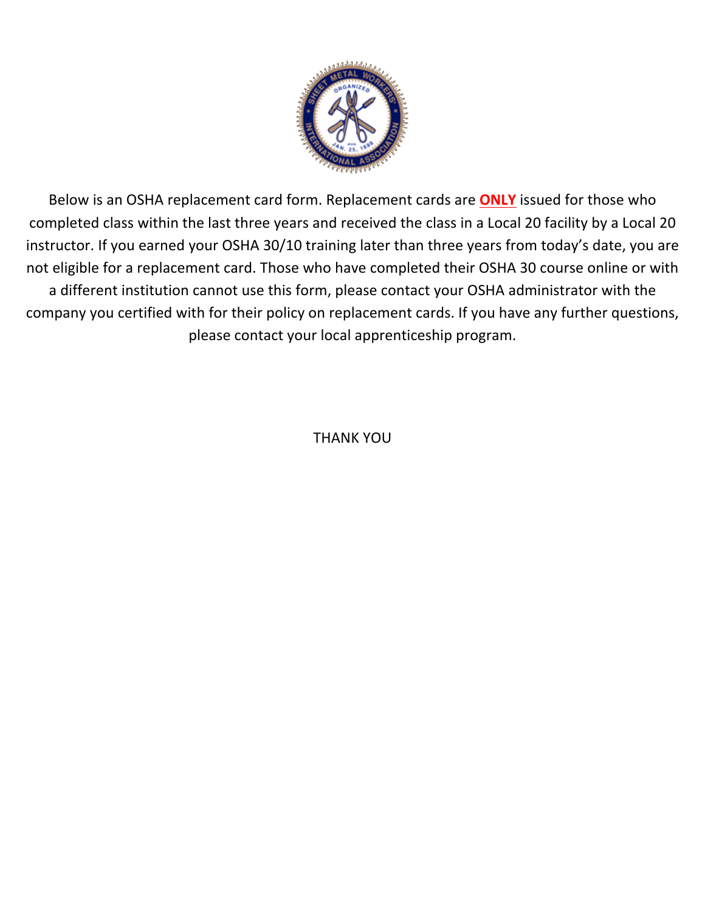

Below is an OSHA replacement card form. Replacement cards are **ONLY** issued for those who completed class within the last three years and received the class in a Local 20 facility by a Local 20 instructor. If you earned your OSHA 30/10 training later than three years from today's date, you are not eligible for a replacement card. Those who have completed their OSHA 30 course online or with a different institution cannot use this form, please contact your OSHA administrator with the company you certified with for their policy on replacement cards. If you have any further questions, please contact your local apprenticeship program.

THANK YOU